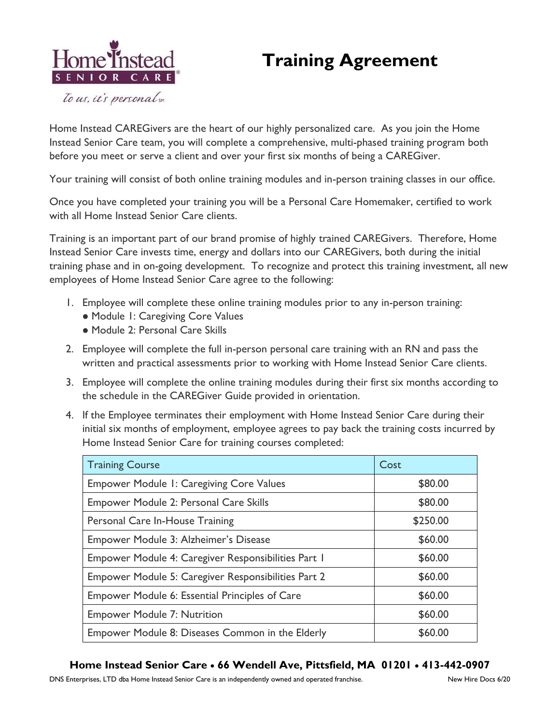## **Training Agreement**



To us, it's personal sm

Home Instead CAREGivers are the heart of our highly personalized care. As you join the Home Instead Senior Care team, you will complete a comprehensive, multi-phased training program both before you meet or serve a client and over your first six months of being a CAREGiver.

Your training will consist of both online training modules and in-person training classes in our office.

Once you have completed your training you will be a Personal Care Homemaker, certified to work with all Home Instead Senior Care clients.

Training is an important part of our brand promise of highly trained CAREGivers. Therefore, Home Instead Senior Care invests time, energy and dollars into our CAREGivers, both during the initial training phase and in on-going development. To recognize and protect this training investment, all new employees of Home Instead Senior Care agree to the following:

- 1. Employee will complete these online training modules prior to any in-person training:
	- ⚫ Module 1: Caregiving Core Values
	- ⚫ Module 2: Personal Care Skills
- 2. Employee will complete the full in-person personal care training with an RN and pass the written and practical assessments prior to working with Home Instead Senior Care clients.
- 3. Employee will complete the online training modules during their first six months according to the schedule in the CAREGiver Guide provided in orientation.
- 4. If the Employee terminates their employment with Home Instead Senior Care during their initial six months of employment, employee agrees to pay back the training costs incurred by Home Instead Senior Care for training courses completed:

| <b>Training Course</b>                                | Cost     |
|-------------------------------------------------------|----------|
| <b>Empower Module 1: Caregiving Core Values</b>       | \$80.00  |
| Empower Module 2: Personal Care Skills                | \$80.00  |
| Personal Care In-House Training                       | \$250.00 |
| Empower Module 3: Alzheimer's Disease                 | \$60.00  |
| Empower Module 4: Caregiver Responsibilities Part 1   | \$60.00  |
| Empower Module 5: Caregiver Responsibilities Part 2   | \$60.00  |
| <b>Empower Module 6: Essential Principles of Care</b> | \$60.00  |
| <b>Empower Module 7: Nutrition</b>                    | \$60.00  |
| Empower Module 8: Diseases Common in the Elderly      | \$60.00  |

## **Home Instead Senior Care** • **66 Wendell Ave, Pittsfield, MA 01201** • **413-442-0907**